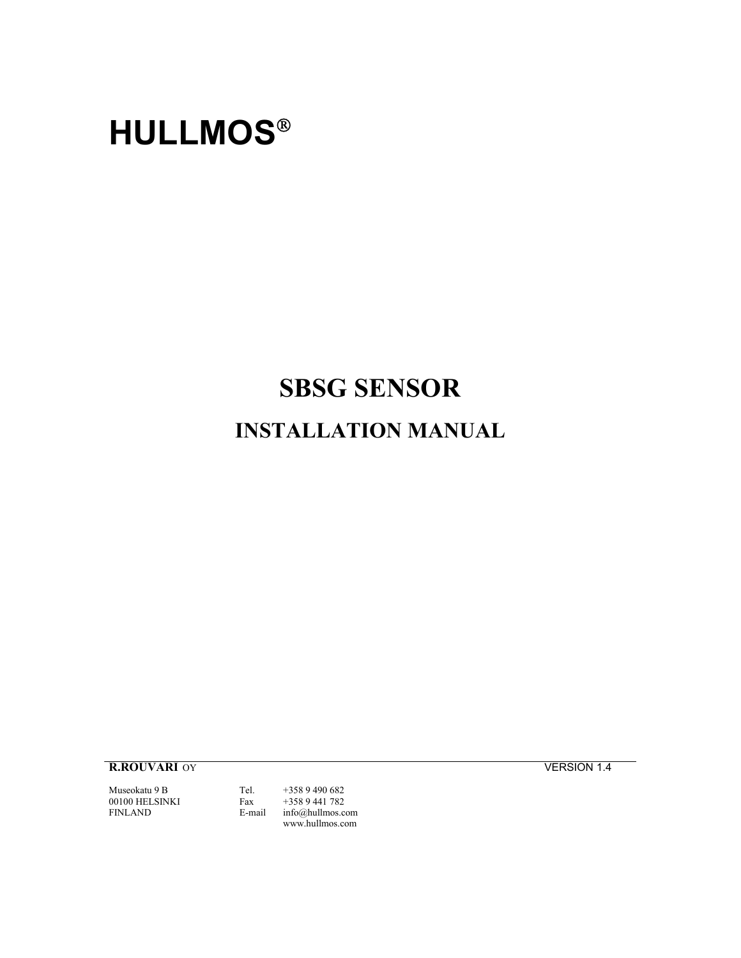# **HULLMOS**

# **SBSG SENSOR**

# **INSTALLATION MANUAL**

**R.ROUVARI** OY **VERSION 1.4** 

Museokatu 9 B Tel. +358 9 490 682<br>00100 HELSINKI Fax +358 9 441 782 00100 HELSINKI Fax<br>FINLAND E-ma

E-mail [info@hullmos.com](mailto:info@hullmos.com) www.hullmos.com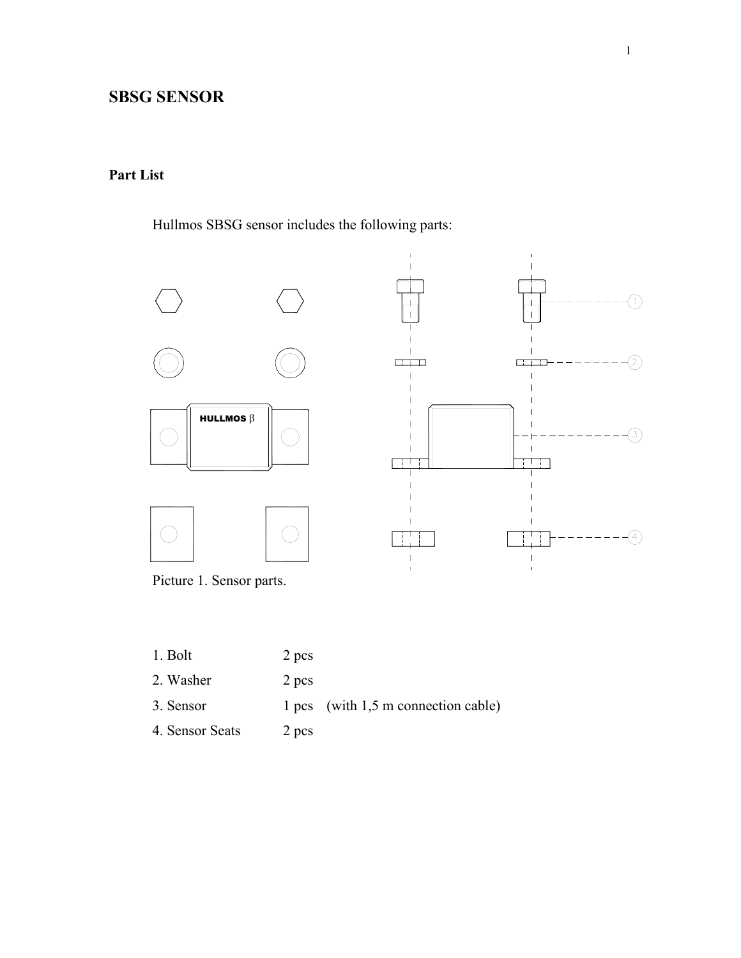# **SBSG SENSOR**

## **Part List**

Hullmos SBSG sensor includes the following parts:



Picture 1. Sensor parts.

- 1. Bolt 2 pcs 2. Washer 2 pcs 3. Sensor 1 pcs (with 1,5 m connection cable)
- 4. Sensor Seats 2 pcs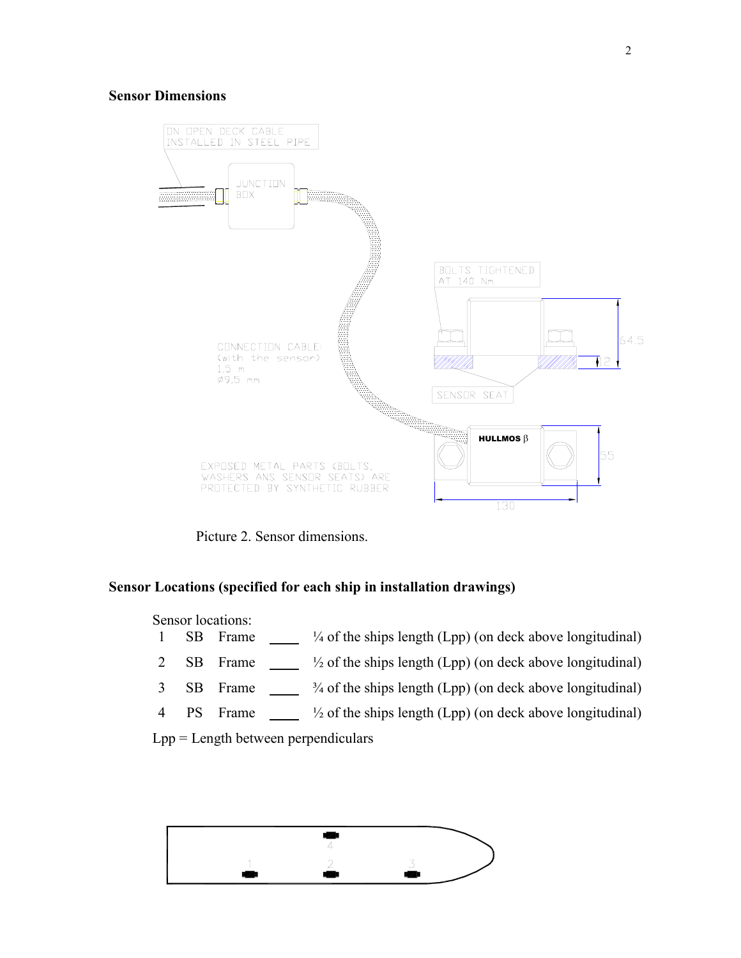#### **Sensor Dimensions**



Picture 2. Sensor dimensions.

#### **Sensor Locations (specified for each ship in installation drawings)**

Sensor locations:

- 1 SB Frame  $\frac{1}{4}$  of the ships length (Lpp) (on deck above longitudinal)
- 2 SB Frame  $\frac{1}{2}$  of the ships length (Lpp) (on deck above longitudinal)
- 3 SB Frame  $\frac{3}{4}$  of the ships length (Lpp) (on deck above longitudinal)
- 4 PS Frame  $\frac{1}{2}$  of the ships length (Lpp) (on deck above longitudinal)

Lpp = Length between perpendiculars

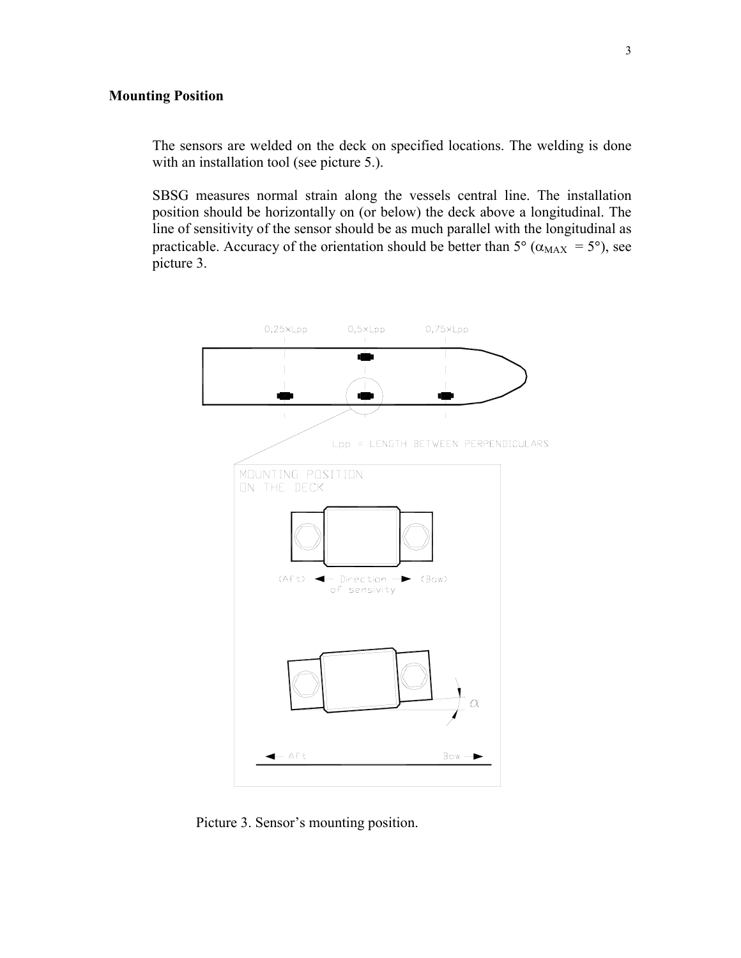#### **Mounting Position**

The sensors are welded on the deck on specified locations. The welding is done with an installation tool (see picture 5.).

SBSG measures normal strain along the vessels central line. The installation position should be horizontally on (or below) the deck above a longitudinal. The line of sensitivity of the sensor should be as much parallel with the longitudinal as practicable. Accuracy of the orientation should be better than  $5^{\circ}$  ( $\alpha_{MAX} = 5^{\circ}$ ), see picture 3.



Picture 3. Sensor's mounting position.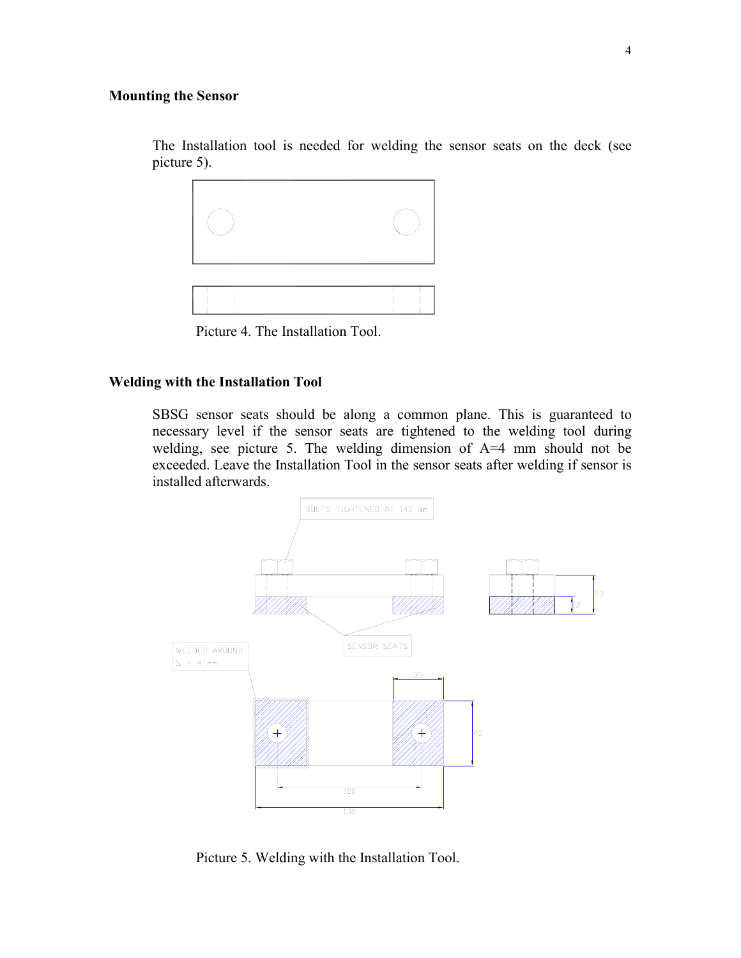#### **Mounting the Sensor**

The Installation tool is needed for welding the sensor seats on the deck (see picture 5).



Picture 4. The Installation Tool.

#### **Welding with the Installation Tool**

SBSG sensor seats should be along a common plane. This is guaranteed to necessary level if the sensor seats are tightened to the welding tool during welding, see picture 5. The welding dimension of A=4 mm should not be exceeded. Leave the Installation Tool in the sensor seats after welding if sensor is installed afterwards.



Picture 5. Welding with the Installation Tool.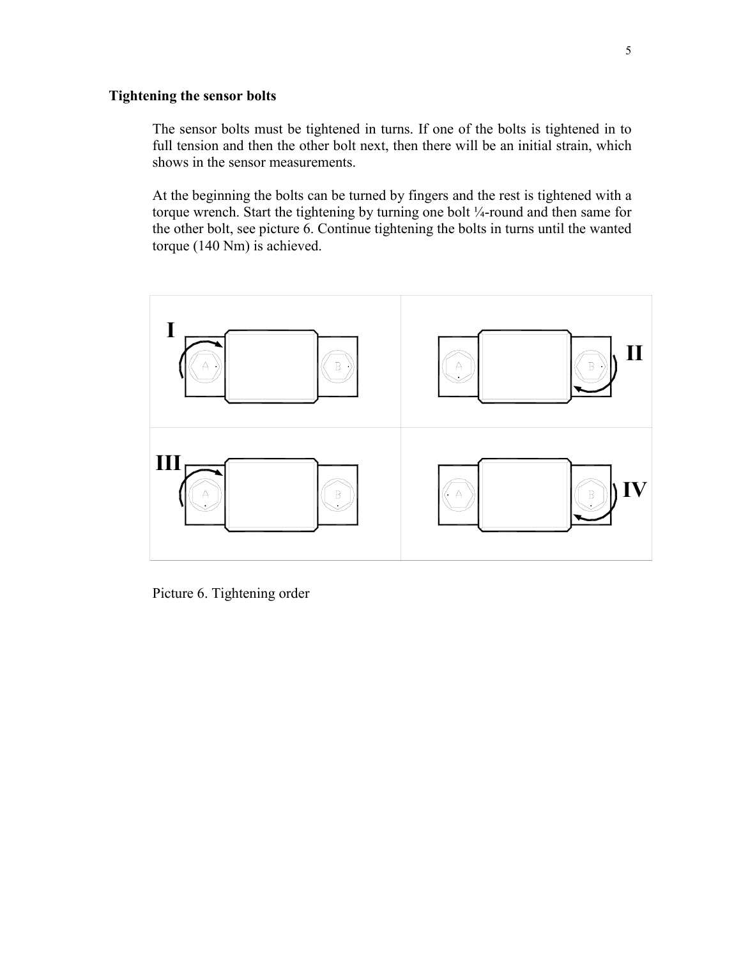#### **Tightening the sensor bolts**

The sensor bolts must be tightened in turns. If one of the bolts is tightened in to full tension and then the other bolt next, then there will be an initial strain, which shows in the sensor measurements.

At the beginning the bolts can be turned by fingers and the rest is tightened with a torque wrench. Start the tightening by turning one bolt ¼-round and then same for the other bolt, see picture 6. Continue tightening the bolts in turns until the wanted torque (140 Nm) is achieved.



Picture 6. Tightening order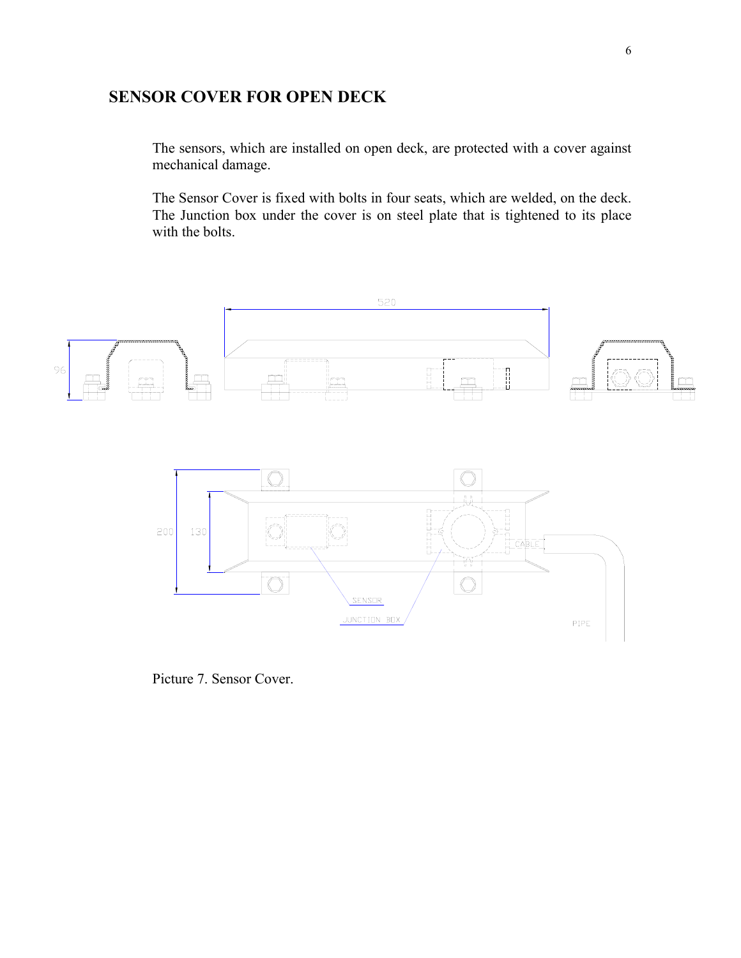# **SENSOR COVER FOR OPEN DECK**

The sensors, which are installed on open deck, are protected with a cover against mechanical damage.

The Sensor Cover is fixed with bolts in four seats, which are welded, on the deck. The Junction box under the cover is on steel plate that is tightened to its place with the bolts.



Picture 7. Sensor Cover.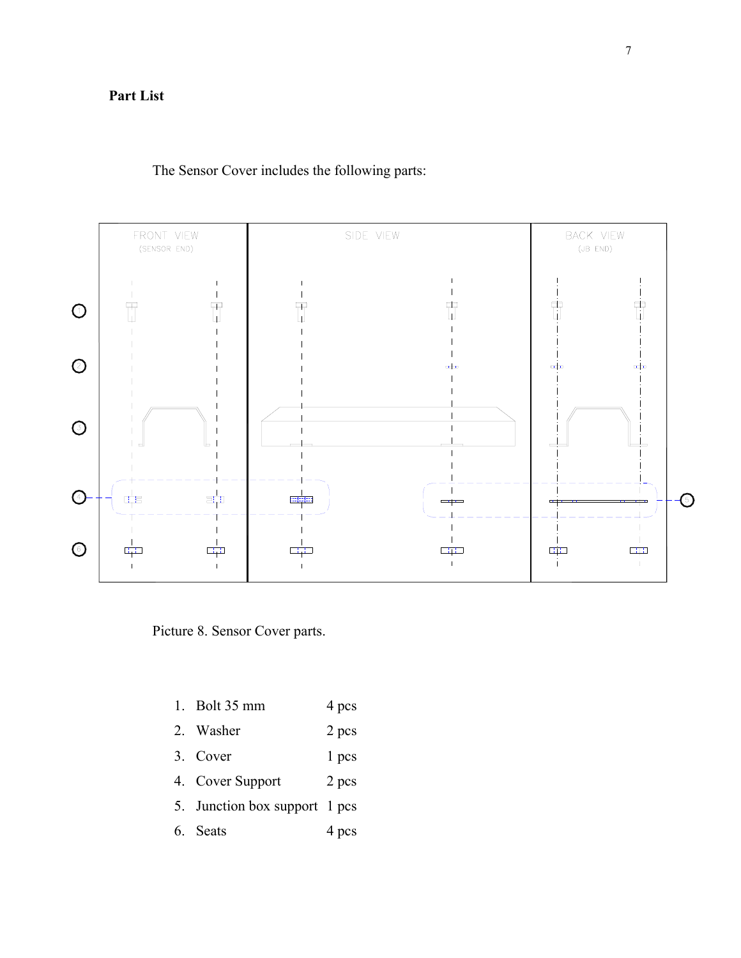## **Part List**

The Sensor Cover includes the following parts:



Picture 8. Sensor Cover parts.

- 1. Bolt 35 mm 4 pcs
- 2. Washer 2 pcs
- 3. Cover 1 pcs
- 4. Cover Support 2 pcs
- 5. Junction box support 1 pcs
- 6. Seats 4 pcs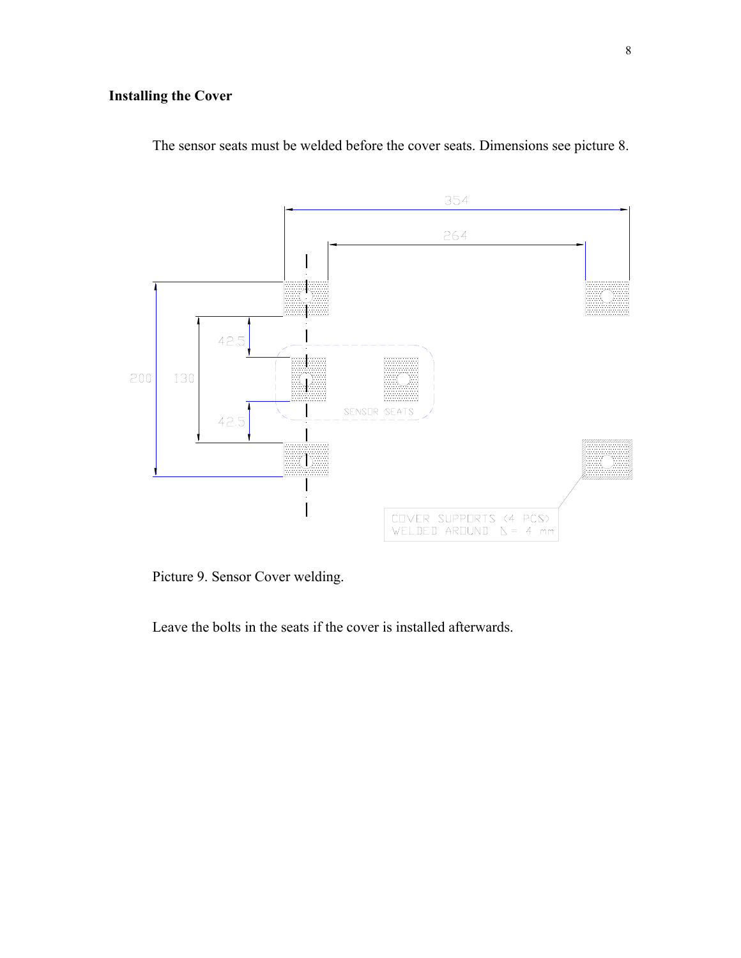# **Installing the Cover**



The sensor seats must be welded before the cover seats. Dimensions see picture 8.

Picture 9. Sensor Cover welding.

Leave the bolts in the seats if the cover is installed afterwards.